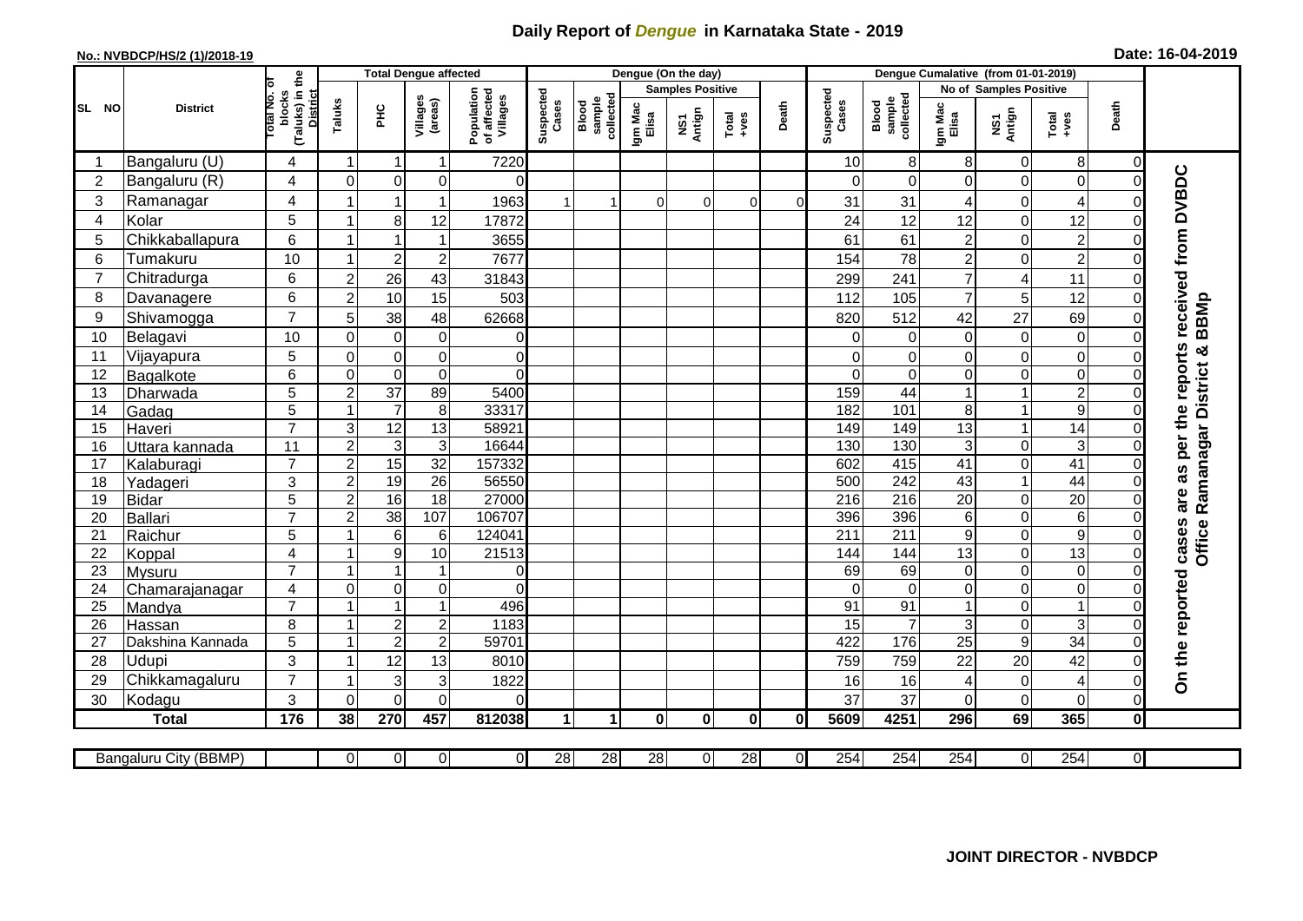## **Daily Report of** *Dengue* **in Karnataka State - 2019**

## **No.: NVBDCP/HS/2 (1)/2018-19 Date: 16-04-2019**

|                 |                            |                                                      | <b>Total Dengue affected</b> |                                  |                     |                                       |                      |                              |                         | Dengue (On the day) |                  |                |                    |                              |                               |                        |                                                              |                            |                                            |
|-----------------|----------------------------|------------------------------------------------------|------------------------------|----------------------------------|---------------------|---------------------------------------|----------------------|------------------------------|-------------------------|---------------------|------------------|----------------|--------------------|------------------------------|-------------------------------|------------------------|--------------------------------------------------------------|----------------------------|--------------------------------------------|
|                 | <b>District</b>            |                                                      |                              |                                  |                     |                                       |                      |                              | <b>Samples Positive</b> |                     |                  |                |                    |                              |                               | No of Samples Positive |                                                              |                            |                                            |
| SL NO           |                            | (Taluks) in the<br>District<br>otal No. of<br>blocks | Taluks                       | Ξ                                | Villages<br>(areas) | Population<br>of affected<br>Villages | Suspected<br>Cases   | sample<br>collected<br>Blood | Igm Mac<br>Elisa        | NS1<br>Antign       | $Tota$<br>$+ves$ | Death          | Suspected<br>Cases | collected<br>sample<br>Blood | Igm Mac<br>Elisa              | NS1<br>Antign          | $\begin{array}{c}\n\text{Total} \\ \text{Area}\n\end{array}$ | Death                      |                                            |
|                 | Bangaluru (U)              | 4                                                    | -1                           | -1                               | 1                   | 7220                                  |                      |                              |                         |                     |                  |                | 10                 | 8                            | 8                             | 0                      | 8                                                            | 0                          |                                            |
| $\overline{2}$  | Bangaluru (R)              | 4                                                    | $\mathbf{0}$                 | $\mathbf 0$                      | $\mathbf 0$         | $\Omega$                              |                      |                              |                         |                     |                  |                | $\Omega$           | $\Omega$                     | $\Omega$                      | 0                      | $\mathbf 0$                                                  | $\Omega$                   |                                            |
| $\mathbf{3}$    | Ramanagar                  | 4                                                    |                              |                                  | 1                   | 1963                                  |                      |                              | $\Omega$                | $\Omega$            | $\Omega$         | $\Omega$       | 31                 | 31                           | 4                             | 0                      | 4                                                            | $\bigcap$                  | are as per the reports received from DVBDC |
| $\overline{4}$  | Kolar                      | 5                                                    | $\overline{1}$               | 8                                | 12                  | 17872                                 |                      |                              |                         |                     |                  |                | 24                 | 12                           | 12                            | 0                      | 12                                                           | $\mathbf 0$                |                                            |
| 5               | Chikkaballapura            | $6\phantom{1}$                                       |                              |                                  | 1                   | 3655                                  |                      |                              |                         |                     |                  |                | 61                 | 61                           | $\overline{c}$                | 0                      | $\overline{c}$                                               | 0                          |                                            |
| $6\phantom{1}6$ | Tumakuru                   | 10                                                   |                              | $\overline{2}$                   | $\overline{c}$      | 7677                                  |                      |                              |                         |                     |                  |                | 154                | 78                           | $\overline{c}$                | 0                      | $\overline{2}$                                               | $\Omega$                   |                                            |
| $\overline{7}$  | Chitradurga                | 6                                                    | $\overline{c}$               | 26                               | 43                  | 31843                                 |                      |                              |                         |                     |                  |                | 299                | 241                          | $\overline{7}$                | 4                      | 11                                                           | $\Omega$                   |                                            |
| 8               | Davanagere                 | 6                                                    | $\overline{2}$               | 10                               | 15                  | 503                                   |                      |                              |                         |                     |                  |                | 112                | 105                          | $\overline{7}$                | 5                      | 12                                                           | $\mathbf 0$                |                                            |
| 9               | Shivamogga                 | $\overline{7}$                                       | 5                            | 38                               | 48                  | 62668                                 |                      |                              |                         |                     |                  |                | 820                | 512                          | 42                            | 27                     | 69                                                           | $\Omega$                   | BBMp                                       |
| 10              | Belagavi                   | 10                                                   | $\mathbf 0$                  | $\boldsymbol{0}$                 | $\pmb{0}$           | 0                                     |                      |                              |                         |                     |                  |                | 0                  | 0                            | 0                             | $\boldsymbol{0}$       | $\mathsf{O}\xspace$                                          | $\Omega$                   |                                            |
| 11              | Vijayapura                 | 5                                                    | $\mathbf 0$                  | $\boldsymbol{0}$                 | 0                   | $\mathbf 0$                           |                      |                              |                         |                     |                  |                | $\Omega$           | $\Omega$                     | 0                             | $\mathbf 0$            | $\overline{\mathsf{o}}$                                      | $\Omega$                   | Ramanagar District &                       |
| 12              | Bagalkote                  | 6                                                    | $\mathbf 0$                  | $\mathbf 0$                      | $\pmb{0}$           | $\Omega$                              |                      |                              |                         |                     |                  |                | $\Omega$           | $\mathbf 0$                  | 0                             | 0                      | $\overline{\mathsf{o}}$                                      | $\mathbf 0$                |                                            |
| 13              | Dharwada                   | 5                                                    | $\overline{2}$               | $\overline{37}$                  | 89                  | 5400                                  |                      |                              |                         |                     |                  |                | 159                | $\overline{44}$              |                               | 1                      | $\overline{2}$                                               | $\bigcap$                  |                                            |
| 14              | Gadag                      | $\overline{5}$                                       |                              | $\overline{7}$                   | $\,8\,$             | 33317                                 |                      |                              |                         |                     |                  |                | 182                | 101                          | 8                             | 1                      | $\overline{9}$                                               | $\Omega$                   |                                            |
| 15              | Haveri                     | $\overline{7}$                                       | 3                            | $\overline{12}$                  | 13                  | 58921                                 |                      |                              |                         |                     |                  |                | 149                | 149                          | 13                            | 1                      | $\overline{14}$                                              | 0                          |                                            |
| 16              | Uttara kannada             | 11                                                   | $\overline{2}$               | 3                                | 3                   | 16644                                 |                      |                              |                         |                     |                  |                | 130                | 130                          | 3                             | 0                      | ω                                                            | $\Omega$                   |                                            |
| 17              | Kalaburagi                 | $\overline{7}$                                       | $\overline{c}$               | 15                               | $\overline{32}$     | 157332                                |                      |                              |                         |                     |                  |                | 602                | 415                          | 41                            | 0                      | $\overline{41}$                                              | $\mathbf 0$                |                                            |
| 18              | Yadageri                   | 3                                                    | $\overline{2}$               | 19                               | 26                  | 56550                                 |                      |                              |                         |                     |                  |                | 500                | 242                          | 43                            | $\mathbf{1}$           | 44                                                           | $\Omega$                   |                                            |
| 19              | Bidar                      | 5                                                    | $\overline{2}$               | 16                               | 18                  | 27000                                 |                      |                              |                         |                     |                  |                | 216                | 216                          | 20                            | 0                      | 20                                                           | $\mathbf 0$                |                                            |
| 20              | Ballari                    | $\overline{7}$                                       | $\overline{2}$               | $\overline{38}$                  | 107                 | 106707                                |                      |                              |                         |                     |                  |                | 396                | 396                          | 6                             | 0                      | $\sigma$                                                     | $\Omega$                   |                                            |
| 21              | Raichur                    | 5                                                    |                              | 6                                | 6                   | 124041                                |                      |                              |                         |                     |                  |                | $\overline{211}$   | $\overline{211}$             | 9                             | 0                      | $\overline{9}$                                               | $\mathbf 0$                | cases<br>Office                            |
| 22              | Koppal                     | 4<br>$\overline{7}$                                  |                              | $\boldsymbol{9}$                 | 10                  | 21513                                 |                      |                              |                         |                     |                  |                | 144                | 144                          | 13                            | 0                      | 13                                                           | $\Omega$                   |                                            |
| 23<br>24        | Mysuru                     |                                                      |                              |                                  | 1                   | $\overline{0}$<br>$\Omega$            |                      |                              |                         |                     |                  |                | 69<br>$\Omega$     | 69                           | 0                             | 0<br>0                 | $\overline{0}$<br>$\overline{0}$                             | $\mathbf 0$                |                                            |
| $\overline{25}$ | Chamarajanagar             | $\overline{4}$<br>$\overline{7}$                     | $\mathbf 0$                  | $\overline{0}$<br>$\overline{1}$ | 0<br>1              | 496                                   |                      |                              |                         |                     |                  |                | 91                 | $\overline{0}$<br>91         | $\mathbf 0$<br>$\overline{1}$ | 0                      | $\overline{1}$                                               | $\mathbf 0$<br>$\mathbf 0$ |                                            |
| 26              | Mandya                     | 8                                                    |                              | $\sqrt{2}$                       | $\overline{c}$      | 1183                                  |                      |                              |                         |                     |                  |                | 15                 | $\overline{7}$               | 3                             | 0                      | $\mathbf{3}$                                                 | $\mathbf 0$                |                                            |
| 27              | Hassan<br>Dakshina Kannada | 5                                                    | $\overline{\mathbf{1}}$      | $\overline{2}$                   | $\overline{2}$      | 59701                                 |                      |                              |                         |                     |                  |                | 422                | 176                          | $\overline{25}$               | $\overline{9}$         | 34                                                           | $\overline{0}$             |                                            |
| 28              | <b>Udupi</b>               | 3                                                    |                              | 12                               | 13                  | 8010                                  |                      |                              |                         |                     |                  |                | 759                | 759                          | 22                            | 20                     | 42                                                           | $\Omega$                   |                                            |
| 29              | Chikkamagaluru             | $\overline{7}$                                       |                              | 3                                | 3                   | 1822                                  |                      |                              |                         |                     |                  |                | 16                 | 16                           | 4                             | 0                      | $\overline{4}$                                               | $\Omega$                   | On the reported                            |
| 30              | Kodagu                     | 3                                                    | $\Omega$                     | $\Omega$                         | $\Omega$            | $\Omega$                              |                      |                              |                         |                     |                  |                | 37                 | 37                           | $\Omega$                      | 0                      | $\mathbf 0$                                                  | $\Omega$                   |                                            |
|                 | <b>Total</b>               | 176                                                  | 38                           | 270                              | 457                 | 812038                                | $\blacktriangleleft$ | $\mathbf{1}$                 | $\bf{0}$                | $\mathbf{0}$        | $\mathbf{0}$     | 0l             | 5609               | 4251                         | 296                           | 69                     | 365                                                          | $\mathbf 0$                |                                            |
|                 |                            |                                                      |                              |                                  |                     |                                       |                      |                              |                         |                     |                  |                |                    |                              |                               |                        |                                                              |                            |                                            |
|                 | Bangaluru City (BBMP)      |                                                      | $\overline{0}$               | $\overline{0}$                   | $\overline{0}$      | $\overline{0}$                        | $\overline{28}$      | 28                           | 28                      | $\overline{0}$      | 28               | $\overline{O}$ | 254                | 254                          | 254                           | 0                      | 254                                                          | $\overline{0}$             |                                            |